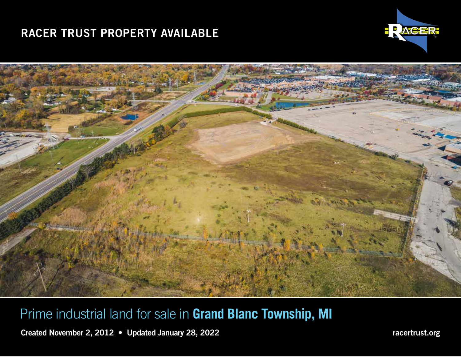# RACER TRUST PROPERTY AVAILABLE IN GRAND BLANCHER IN GRAND BLANCHER, IN GRAND BLANCHER, IN GRAND BLANCHER, IN GRAND BLANC TOWNSHIP, IN GRAND BLANCHER, IN GRAND BLANCHER, IN GRAND BLANCHER, IN GRAND BLANCHER, IN GRAND BLANCH





Prime industrial land for sale in **Grand Blanc Township, MI**

Created November 2, 2012 • Updated January 28, 2022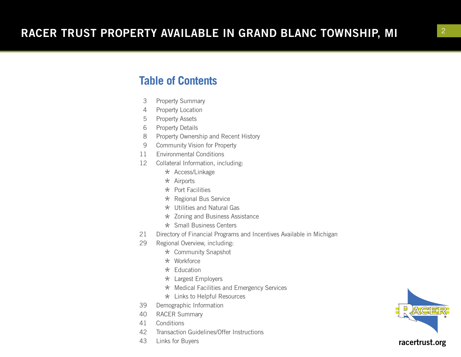### **Table of Contents**

- 3 Property Summary
- 4 Property Location
- 5 Property Assets
- 6 Property Details
- 8 Property Ownership and Recent History
- 9 Community Vision for Property
- 11 Environmental Conditions
- 12 Collateral Information, including:
	- \* Access/Linkage
	- $\star$  Airports
	- $\star$  Port Facilities
	- \* Regional Bus Service
	- $\star$  Utilities and Natural Gas
	- \* Zoning and Business Assistance
- \* Small Business Centers<br>21 Directory of Financial Programs
- Directory of Financial Programs and Incentives Available in Michigan
- 29 Regional Overview, including:
	- \* Community Snapshot
	- $\star$  Workforce
	- $\star$  Education
	- \* Largest Employers
	- \* Medical Facilities and Emergency Services
- $\star$  Links to Helpful Resources<br>39 Demographic Information
- Demographic Information
- 40 RACER Summary
- 41 Conditions
- 42 Transaction Guidelines/Offer Instructions
- 43 Links for Buyers

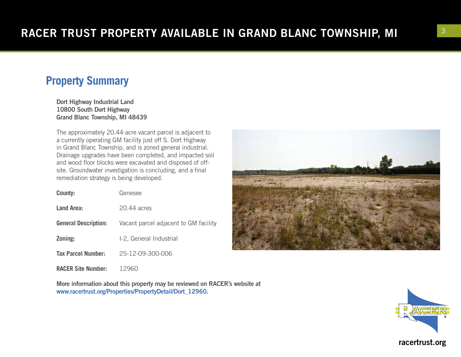## **Property Summary**

Dort Highway Industrial Land 10800 South Dort Highway Grand Blanc Township, MI 48439

The approximately 20.44-acre vacant parcel is adjacent to a currently operating GM facility just off S. Dort Highway in Grand Blanc Township, and is zoned general industrial. Drainage upgrades have been completed, and impacted soil and wood floor blocks were excavated and disposed of offsite. Groundwater investigation is concluding, and a final remediation strategy is being developed.

| County:                     | Genesee                               |
|-----------------------------|---------------------------------------|
| Land Area:                  | 20.44 acres                           |
| <b>General Description:</b> | Vacant parcel adjacent to GM facility |
| Zoning:                     | I-2, General Industrial               |
| <b>Tax Parcel Number:</b>   | 25-12-09-300-006                      |

**RACER Site Number:** 12960

More information about this property may be reviewed on RACER's website at www.racertrust.org/Properties/PropertyDetail/Dort\_12960.



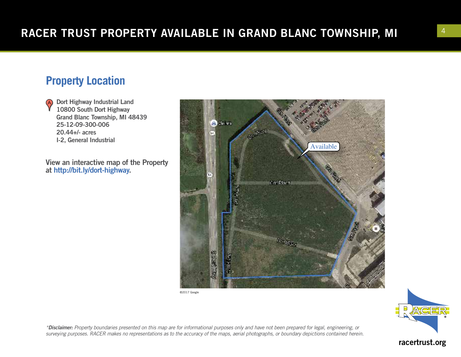# **Property Location**

Dort Highway Industrial Land (A) 10800 South Dort Highway Grand Blanc Township, MI 48439 25-12-09-300-006 20.44+/- acres I-2, General Industrial

View an interactive map of the Property at http://bit.ly/dort-highway.



©2017 Google



*\*Disclaimer: Property boundaries presented on this map are for informational purposes only and have not been prepared for legal, engineering, or surveying purposes. RACER makes no representations as to the accuracy of the maps, aerial photographs, or boundary depictions contained herein.*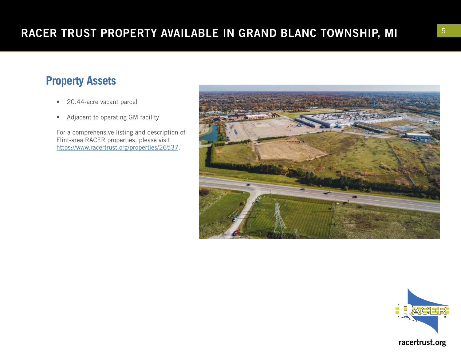# **Property Assets**

- 20.44-acre vacant parcel
- Adjacent to operating GM facility

For a comprehensive listing and description of Flint-area RACER properties, please visit [https://www.racertrust.org/properties/2653](https://www.racertrust.org/properties/26537) 7 .



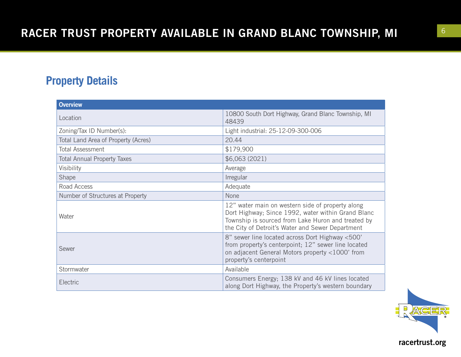# **Property Details**

| <b>Overview</b>                     |                                                                                                                                                                                                                  |  |
|-------------------------------------|------------------------------------------------------------------------------------------------------------------------------------------------------------------------------------------------------------------|--|
| Location                            | 10800 South Dort Highway, Grand Blanc Township, MI<br>48439                                                                                                                                                      |  |
| Zoning/Tax ID Number(s):            | Light industrial: 25-12-09-300-006                                                                                                                                                                               |  |
| Total Land Area of Property (Acres) | 20.44                                                                                                                                                                                                            |  |
| <b>Total Assessment</b>             | \$179,900                                                                                                                                                                                                        |  |
| <b>Total Annual Property Taxes</b>  | \$6,063(2021)                                                                                                                                                                                                    |  |
| Visibility                          | Average                                                                                                                                                                                                          |  |
| Shape                               | Irregular                                                                                                                                                                                                        |  |
| Road Access                         | Adequate                                                                                                                                                                                                         |  |
| Number of Structures at Property    | None                                                                                                                                                                                                             |  |
| Water                               | 12" water main on western side of property along<br>Dort Highway; Since 1992, water within Grand Blanc<br>Township is sourced from Lake Huron and treated by<br>the City of Detroit's Water and Sewer Department |  |
| Sewer                               | 8" sewer line located across Dort Highway <500'<br>from property's centerpoint; 12" sewer line located<br>on adjacent General Motors property <1000' from<br>property's centerpoint                              |  |
| Stormwater                          | Available                                                                                                                                                                                                        |  |
| Electric                            | Consumers Energy; 138 kV and 46 kV lines located<br>along Dort Highway, the Property's western boundary                                                                                                          |  |

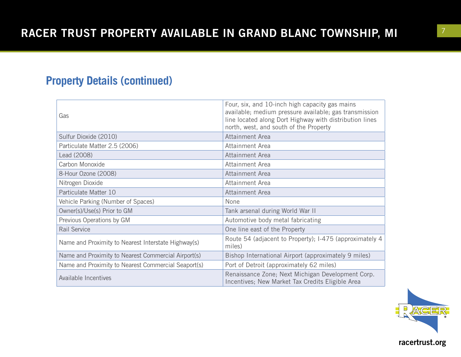## **Property Details (continued)**

| Gas                                                 | Four, six, and 10-inch high capacity gas mains<br>available; medium pressure available; gas transmission<br>line located along Dort Highway with distribution lines<br>north, west, and south of the Property |  |
|-----------------------------------------------------|---------------------------------------------------------------------------------------------------------------------------------------------------------------------------------------------------------------|--|
| Sulfur Dioxide (2010)                               | Attainment Area                                                                                                                                                                                               |  |
| Particulate Matter 2.5 (2006)                       | Attainment Area                                                                                                                                                                                               |  |
| Lead (2008)                                         | Attainment Area                                                                                                                                                                                               |  |
| Carbon Monoxide                                     | Attainment Area                                                                                                                                                                                               |  |
| 8-Hour Ozone (2008)                                 | Attainment Area                                                                                                                                                                                               |  |
| Nitrogen Dioxide                                    | Attainment Area                                                                                                                                                                                               |  |
| Particulate Matter 10                               | Attainment Area                                                                                                                                                                                               |  |
| Vehicle Parking (Number of Spaces)                  | None                                                                                                                                                                                                          |  |
| Owner(s)/Use(s) Prior to GM                         | Tank arsenal during World War II                                                                                                                                                                              |  |
| Previous Operations by GM                           | Automotive body metal fabricating                                                                                                                                                                             |  |
| <b>Rail Service</b>                                 | One line east of the Property                                                                                                                                                                                 |  |
| Name and Proximity to Nearest Interstate Highway(s) | Route 54 (adjacent to Property); I-475 (approximately 4<br>miles)                                                                                                                                             |  |
| Name and Proximity to Nearest Commercial Airport(s) | Bishop International Airport (approximately 9 miles)                                                                                                                                                          |  |
| Name and Proximity to Nearest Commercial Seaport(s) | Port of Detroit (approximately 62 miles)                                                                                                                                                                      |  |
| Available Incentives                                | Renaissance Zone; Next Michigan Development Corp.<br>Incentives; New Market Tax Credits Eligible Area                                                                                                         |  |

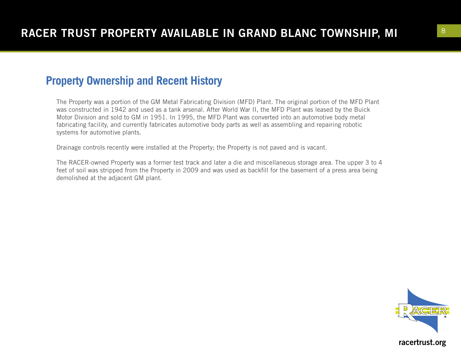### **Property Ownership and Recent History**

The Property was a portion of the GM Metal Fabricating Division (MFD) Plant. The original portion of the MFD Plant was constructed in 1942 and used as a tank arsenal. After World War II, the MFD Plant was leased by the Buick Motor Division and sold to GM in 1951. In 1995, the MFD Plant was converted into an automotive body metal fabricating facility, and currently fabricates automotive body parts as well as assembling and repairing robotic systems for automotive plants.

Drainage controls recently were installed at the Property; the Property is not paved and is vacant.

The RACER-owned Property was a former test track and later a die and miscellaneous storage area. The upper 3 to 4 feet of soil was stripped from the Property in 2009 and was used as backfill for the basement of a press area being demolished at the adjacent GM plant.

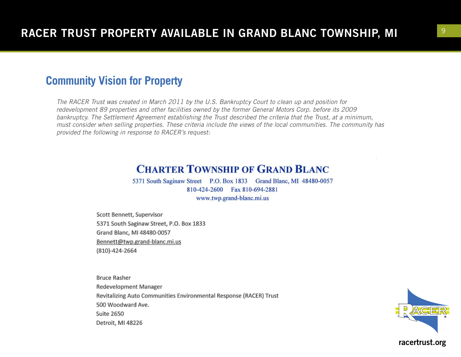### **Community Vision for Property**

*The RACER Trust was created in March 2011 by the U.S. Bankruptcy Court to clean up and position for redevelopment 89 properties and other facilities owned by the former General Motors Corp. before its 2009 bankruptcy. The Settlement Agreement establishing the Trust described the criteria that the Trust, at a minimum, must consider when selling properties. These criteria include the views of the local communities. The community has provided the following in response to RACER's request:*

### **CHARTER TOWNSHIP OF GRAND BLANC**

5371 South Saginaw Street P.O. Box 1833 Grand Blanc, MI 48480-0057 810-424-2600 Fax 810-694-2881 www.twp.grand-blanc.mi.us

Scott Bennett, Supervisor 5371 South Saginaw Street, P.O. Box 1833 Grand Blanc, MI 48480-0057 Bennett@twp.grand-blanc.mi.us (810)-424-2664

**Bruce Rasher Redevelopment Manager** Revitalizing Auto Communities Environmental Response (RACER) Trust 500 Woodward Ave. **Suite 2650** Detroit, MI 48226

![](_page_8_Picture_7.jpeg)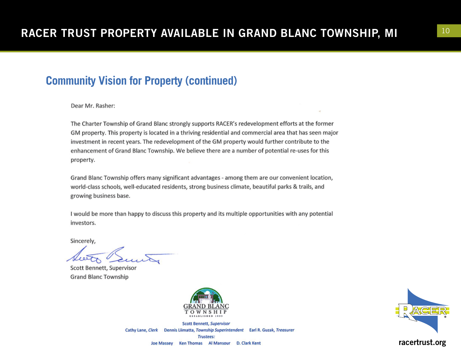### **Community Vision for Property (continued)**

Dear Mr. Rasher:

The Charter Township of Grand Blanc strongly supports RACER's redevelopment efforts at the former GM property. This property is located in a thriving residential and commercial area that has seen major investment in recent years. The redevelopment of the GM property would further contribute to the enhancement of Grand Blanc Township. We believe there are a number of potential re-uses for this property.

Grand Blanc Township offers many significant advantages - among them are our convenient location, world-class schools, well-educated residents, strong business climate, beautiful parks & trails, and growing business base.

I would be more than happy to discuss this property and its multiple opportunities with any potential investors.

Sincerely,

Scott Bennett, Supervisor **Grand Blanc Township** 

![](_page_9_Picture_9.jpeg)

Scott Bennett, Supervisor Cathy Lane, Clerk Dennis Liimatta, Township Superintendent Earl R. Guzak, Treasurer Trustees: Ken Thomas Al Mansour D. Clark Kent **Joe Massey** 

![](_page_9_Picture_11.jpeg)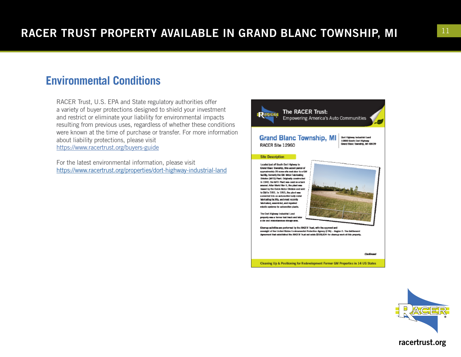### **Environmental Conditions**

RACER Trust, U.S. EPA and State regulatory authorities offer a variety of buyer protections designed to shield your investment and restrict or eliminate your liability for environmental impacts resulting from previous uses, regardless of whether these conditions were known at the time of purchase or transfer. For more information about liability protections, please visit <https://www.racertrust.org/buyers-guide>

For the latest environmental information, please visit <https://www.racertrust.org/properties/dort-highway-industrial-land>

![](_page_10_Picture_4.jpeg)

![](_page_10_Picture_5.jpeg)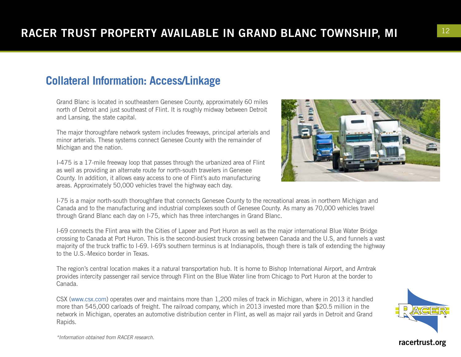# **Collateral Information: Access/Linkage**

Grand Blanc is located in southeastern Genesee County, approximately 60 miles north of Detroit and just southeast of Flint. It is roughly midway between Detroit and Lansing, the state capital.

The major thoroughfare network system includes freeways, principal arterials and minor arterials. These systems connect Genesee County with the remainder of Michigan and the nation.

I-475 is a 17-mile freeway loop that passes through the urbanized area of Flint as well as providing an alternate route for north-south travelers in Genesee County. In addition, it allows easy access to one of Flint's auto manufacturing areas. Approximately 50,000 vehicles travel the highway each day.

![](_page_11_Picture_5.jpeg)

I-75 is a major north-south thoroughfare that connects Genesee County to the recreational areas in northern Michigan and Canada and to the manufacturing and industrial complexes south of Genesee County. As many as 70,000 vehicles travel through Grand Blanc each day on I-75, which has three interchanges in Grand Blanc.

I-69 connects the Flint area with the Cities of Lapeer and Port Huron as well as the major international Blue Water Bridge crossing to Canada at Port Huron. This is the second-busiest truck crossing between Canada and the U.S, and funnels a vast majority of the truck traffic to I-69. I-69's southern terminus is at Indianapolis, though there is talk of extending the highway to the U.S.-Mexico border in Texas.

The region's central location makes it a natural transportation hub. It is home to Bishop International Airport, and Amtrak provides intercity passenger rail service through Flint on the Blue Water line from Chicago to Port Huron at the border to Canada.

CSX (www.csx.com) operates over and maintains more than 1,200 miles of track in Michigan, where in 2013 it handled more than 545,000 carloads of freight. The railroad company, which in 2013 invested more than \$20.5 million in the network in Michigan, operates an automotive distribution center in Flint, as well as major rail yards in Detroit and Grand Rapids.

![](_page_11_Picture_10.jpeg)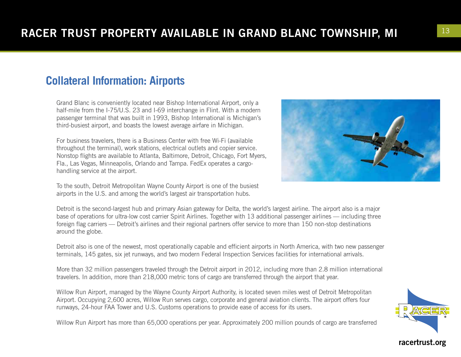## **Collateral Information: Airports**

Grand Blanc is conveniently located near Bishop International Airport, only a half-mile from the I-75/U.S. 23 and I-69 interchange in Flint. With a modern passenger terminal that was built in 1993, Bishop International is Michigan's third-busiest airport, and boasts the lowest average airfare in Michigan.

For business travelers, there is a Business Center with free Wi-Fi (available throughout the terminal), work stations, electrical outlets and copier service. Nonstop flights are available to Atlanta, Baltimore, Detroit, Chicago, Fort Myers, Fla., Las Vegas, Minneapolis, Orlando and Tampa. FedEx operates a cargohandling service at the airport.

To the south, Detroit Metropolitan Wayne County Airport is one of the busiest airports in the U.S. and among the world's largest air transportation hubs.

Detroit is the second-largest hub and primary Asian gateway for Delta, the world's largest airline. The airport also is a major base of operations for ultra-low cost carrier Spirit Airlines. Together with 13 additional passenger airlines — including three foreign flag carriers — Detroit's airlines and their regional partners offer service to more than 150 non-stop destinations around the globe.

Detroit also is one of the newest, most operationally capable and efficient airports in North America, with two new passenger terminals, 145 gates, six jet runways, and two modern Federal Inspection Services facilities for international arrivals.

More than 32 million passengers traveled through the Detroit airport in 2012, including more than 2.8 million international travelers. In addition, more than 218,000 metric tons of cargo are transferred through the airport that year.

Willow Run Airport, managed by the Wayne County Airport Authority, is located seven miles west of Detroit Metropolitan Airport. Occupying 2,600 acres, Willow Run serves cargo, corporate and general aviation clients. The airport offers four runways, 24-hour FAA Tower and U.S. Customs operations to provide ease of access for its users.

Willow Run Airport has more than 65,000 operations per year. Approximately 200 million pounds of cargo are transferred

![](_page_12_Picture_10.jpeg)

![](_page_12_Picture_11.jpeg)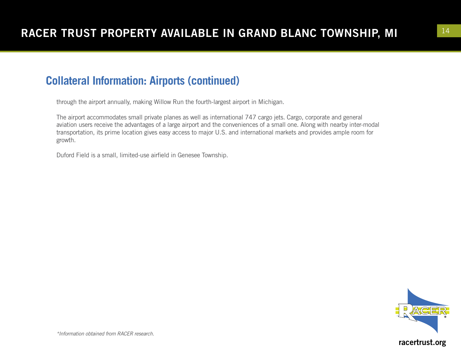## **Collateral Information: Airports (continued)**

through the airport annually, making Willow Run the fourth-largest airport in Michigan.

The airport accommodates small private planes as well as international 747 cargo jets. Cargo, corporate and general aviation users receive the advantages of a large airport and the conveniences of a small one. Along with nearby inter-modal transportation, its prime location gives easy access to major U.S. and international markets and provides ample room for growth.

Duford Field is a small, limited-use airfield in Genesee Township.

![](_page_13_Picture_5.jpeg)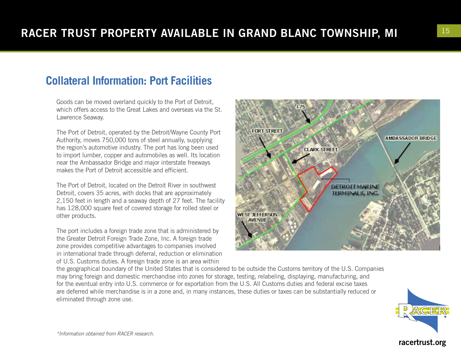## **Collateral Information: Port Facilities**

Goods can be moved overland quickly to the Port of Detroit, which offers access to the Great Lakes and overseas via the St. Lawrence Seaway.

The Port of Detroit, operated by the Detroit/Wayne County Port Authority, moves 750,000 tons of steel annually, supplying the region's automotive industry. The port has long been used to import lumber, copper and automobiles as well. Its location near the Ambassador Bridge and major interstate freeways makes the Port of Detroit accessible and efficient.

The Port of Detroit, located on the Detroit River in southwest Detroit, covers 35 acres, with docks that are approximately 2,150 feet in length and a seaway depth of 27 feet. The facility has 128,000 square feet of covered storage for rolled steel or other products.

The port includes a foreign trade zone that is administered by the Greater Detroit Foreign Trade Zone, Inc. A foreign trade zone provides competitive advantages to companies involved in international trade through deferral, reduction or elimination of U.S. Customs duties. A foreign trade zone is an area within

![](_page_14_Picture_6.jpeg)

the geographical boundary of the United States that is considered to be outside the Customs territory of the U.S. Companies may bring foreign and domestic merchandise into zones for storage, testing, relabeling, displaying, manufacturing, and for the eventual entry into U.S. commerce or for exportation from the U.S. All Customs duties and federal excise taxes are deferred while merchandise is in a zone and, in many instances, these duties or taxes can be substantially reduced or eliminated through zone use.

![](_page_14_Picture_8.jpeg)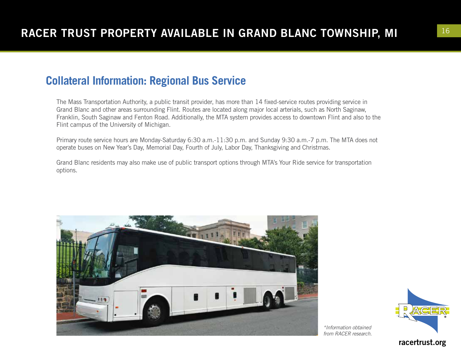## **Collateral Information: Regional Bus Service**

The Mass Transportation Authority, a public transit provider, has more than 14 fixed-service routes providing service in Grand Blanc and other areas surrounding Flint. Routes are located along major local arterials, such as North Saginaw, Franklin, South Saginaw and Fenton Road. Additionally, the MTA system provides access to downtown Flint and also to the Flint campus of the University of Michigan.

Primary route service hours are Monday-Saturday 6:30 a.m.-11:30 p.m. and Sunday 9:30 a.m.-7 p.m. The MTA does not operate buses on New Year's Day, Memorial Day, Fourth of July, Labor Day, Thanksgiving and Christmas.

Grand Blanc residents may also make use of public transport options through MTA's Your Ride service for transportation options.

![](_page_15_Picture_5.jpeg)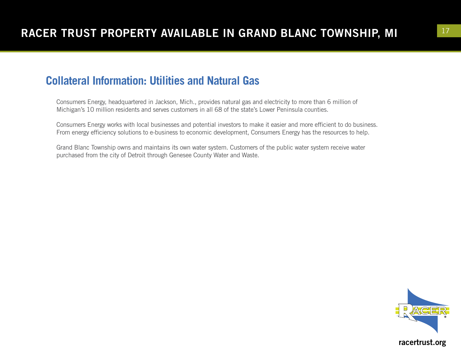### **Collateral Information: Utilities and Natural Gas**

Consumers Energy, headquartered in Jackson, Mich., provides natural gas and electricity to more than 6 million of Michigan's 10 million residents and serves customers in all 68 of the state's Lower Peninsula counties.

Consumers Energy works with local businesses and potential investors to make it easier and more efficient to do business. From energy efficiency solutions to e-business to economic development, Consumers Energy has the resources to help.

Grand Blanc Township owns and maintains its own water system. Customers of the public water system receive water purchased from the city of Detroit through Genesee County Water and Waste.

![](_page_16_Picture_5.jpeg)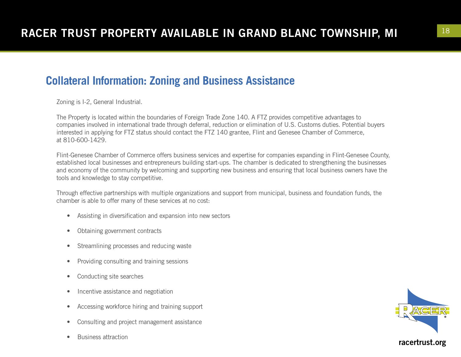### **Collateral Information: Zoning and Business Assistance**

Zoning is I-2, General Industrial.

The Property is located within the boundaries of Foreign Trade Zone 140. A FTZ provides competitive advantages to companies involved in international trade through deferral, reduction or elimination of U.S. Customs duties. Potential buyers interested in applying for FTZ status should contact the FTZ 140 grantee, Flint and Genesee Chamber of Commerce, at 810-600-1429.

Flint-Genesee Chamber of Commerce offers business services and expertise for companies expanding in Flint-Genesee County, established local businesses and entrepreneurs building start-ups. The chamber is dedicated to strengthening the businesses and economy of the community by welcoming and supporting new business and ensuring that local business owners have the tools and knowledge to stay competitive.

Through effective partnerships with multiple organizations and support from municipal, business and foundation funds, the chamber is able to offer many of these services at no cost:

- Assisting in diversification and expansion into new sectors
- Obtaining government contracts
- Streamlining processes and reducing waste
- Providing consulting and training sessions
- Conducting site searches
- Incentive assistance and negotiation
- Accessing workforce hiring and training support
- Consulting and project management assistance
- Business attraction

![](_page_17_Picture_15.jpeg)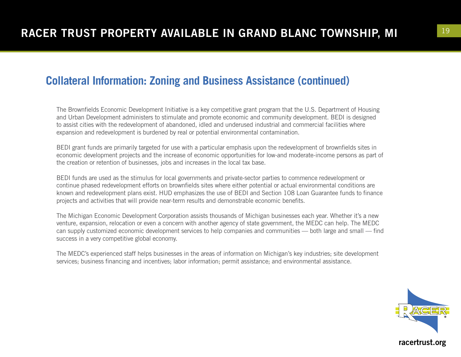### **Collateral Information: Zoning and Business Assistance (continued)**

The Brownfields Economic Development Initiative is a key competitive grant program that the U.S. Department of Housing and Urban Development administers to stimulate and promote economic and community development. BEDI is designed to assist cities with the redevelopment of abandoned, idled and underused industrial and commercial facilities where expansion and redevelopment is burdened by real or potential environmental contamination.

BEDI grant funds are primarily targeted for use with a particular emphasis upon the redevelopment of brownfields sites in economic development projects and the increase of economic opportunities for low-and moderate-income persons as part of the creation or retention of businesses, jobs and increases in the local tax base.

BEDI funds are used as the stimulus for local governments and private-sector parties to commence redevelopment or continue phased redevelopment efforts on brownfields sites where either potential or actual environmental conditions are known and redevelopment plans exist. HUD emphasizes the use of BEDI and Section 108 Loan Guarantee funds to finance projects and activities that will provide near-term results and demonstrable economic benefits.

The Michigan Economic Development Corporation assists thousands of Michigan businesses each year. Whether it's a new venture, expansion, relocation or even a concern with another agency of state government, the MEDC can help. The MEDC can supply customized economic development services to help companies and communities — both large and small — find success in a very competitive global economy.

The MEDC's experienced staff helps businesses in the areas of information on Michigan's key industries; site development services; business financing and incentives; labor information; permit assistance; and environmental assistance.

![](_page_18_Picture_7.jpeg)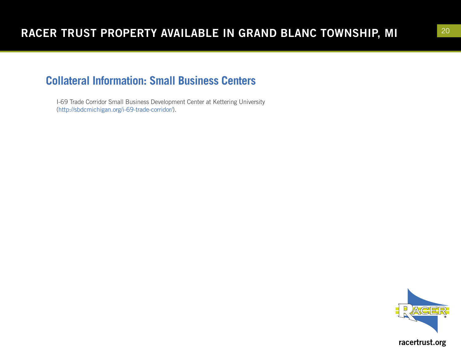## **Collateral Information: Small Business Centers**

I-69 Trade Corridor Small Business Development Center at Kettering University (http://sbdcmichigan.org/i-69-trade-corridor/).

![](_page_19_Picture_3.jpeg)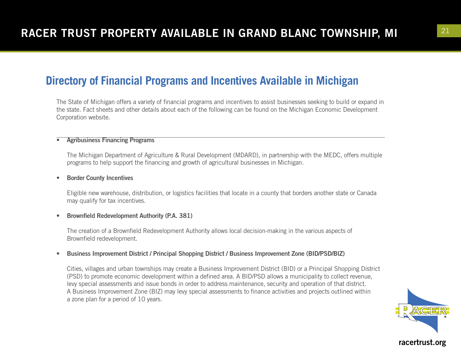The State of Michigan offers a variety of financial programs and incentives to assist businesses seeking to build or expand in the state. Fact sheets and other details about each of the following can be found on the Michigan Economic Development Corporation website.

#### • Agribusiness Financing Programs

The Michigan Department of Agriculture & Rural Development (MDARD), in partnership with the MEDC, offers multiple programs to help support the financing and growth of agricultural businesses in Michigan.

#### • Border County Incentives

Eligible new warehouse, distribution, or logistics facilities that locate in a county that borders another state or Canada may qualify for tax incentives.

#### • Brownfield Redevelopment Authority (P.A. 381)

The creation of a Brownfield Redevelopment Authority allows local decision-making in the various aspects of Brownfield redevelopment.

#### • Business Improvement District / Principal Shopping District / Business Improvement Zone (BID/PSD/BIZ)

Cities, villages and urban townships may create a Business Improvement District (BID) or a Principal Shopping District (PSD) to promote economic development within a defined area. A BID/PSD allows a municipality to collect revenue, levy special assessments and issue bonds in order to address maintenance, security and operation of that district. A Business Improvement Zone (BIZ) may levy special assessments to finance activities and projects outlined within a zone plan for a period of 10 years.

![](_page_20_Picture_11.jpeg)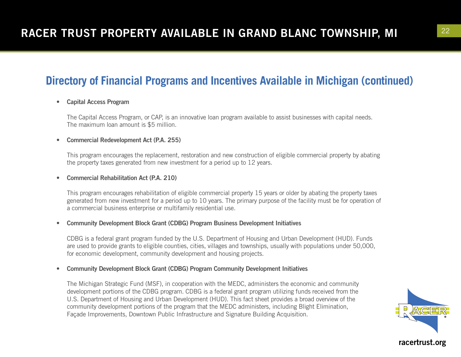### • Capital Access Program

The Capital Access Program, or CAP, is an innovative loan program available to assist businesses with capital needs. The maximum loan amount is \$5 million.

#### • Commercial Redevelopment Act (P.A. 255)

This program encourages the replacement, restoration and new construction of eligible commercial property by abating the property taxes generated from new investment for a period up to 12 years.

#### • Commercial Rehabilitation Act (P.A. 210)

This program encourages rehabilitation of eligible commercial property 15 years or older by abating the property taxes generated from new investment for a period up to 10 years. The primary purpose of the facility must be for operation of a commercial business enterprise or multifamily residential use.

#### • Community Development Block Grant (CDBG) Program Business Development Initiatives

CDBG is a federal grant program funded by the U.S. Department of Housing and Urban Development (HUD). Funds are used to provide grants to eligible counties, cities, villages and townships, usually with populations under 50,000, for economic development, community development and housing projects.

#### • Community Development Block Grant (CDBG) Program Community Development Initiatives

The Michigan Strategic Fund (MSF), in cooperation with the MEDC, administers the economic and community development portions of the CDBG program. CDBG is a federal grant program utilizing funds received from the U.S. Department of Housing and Urban Development (HUD). This fact sheet provides a broad overview of the community development portions of the program that the MEDC administers, including Blight Elimination, Façade Improvements, Downtown Public Infrastructure and Signature Building Acquisition.

![](_page_21_Picture_12.jpeg)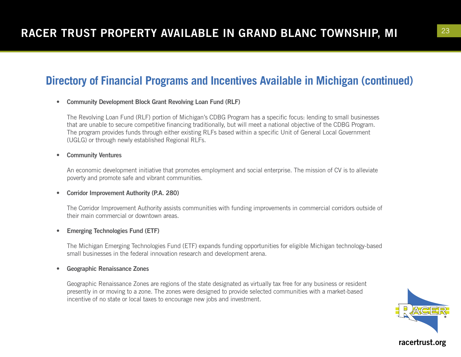#### • Community Development Block Grant Revolving Loan Fund (RLF)

The Revolving Loan Fund (RLF) portion of Michigan's CDBG Program has a specific focus: lending to small businesses that are unable to secure competitive financing traditionally, but will meet a national objective of the CDBG Program. The program provides funds through either existing RLFs based within a specific Unit of General Local Government (UGLG) or through newly established Regional RLFs.

#### • Community Ventures

An economic development initiative that promotes employment and social enterprise. The mission of CV is to alleviate poverty and promote safe and vibrant communities.

#### • Corridor Improvement Authority (P.A. 280)

The Corridor Improvement Authority assists communities with funding improvements in commercial corridors outside of their main commercial or downtown areas.

#### • Emerging Technologies Fund (ETF)

The Michigan Emerging Technologies Fund (ETF) expands funding opportunities for eligible Michigan technology-based small businesses in the federal innovation research and development arena.

#### • Geographic Renaissance Zones

Geographic Renaissance Zones are regions of the state designated as virtually tax free for any business or resident presently in or moving to a zone. The zones were designed to provide selected communities with a market-based incentive of no state or local taxes to encourage new jobs and investment.

![](_page_22_Picture_12.jpeg)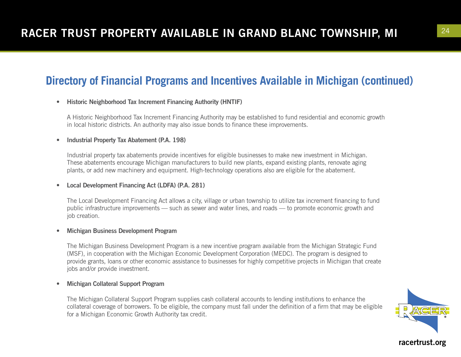### • Historic Neighborhood Tax Increment Financing Authority (HNTIF)

A Historic Neighborhood Tax Increment Financing Authority may be established to fund residential and economic growth in local historic districts. An authority may also issue bonds to finance these improvements.

#### • Industrial Property Tax Abatement (P.A. 198)

Industrial property tax abatements provide incentives for eligible businesses to make new investment in Michigan. These abatements encourage Michigan manufacturers to build new plants, expand existing plants, renovate aging plants, or add new machinery and equipment. High-technology operations also are eligible for the abatement.

#### • Local Development Financing Act (LDFA) (P.A. 281)

The Local Development Financing Act allows a city, village or urban township to utilize tax increment financing to fund public infrastructure improvements — such as sewer and water lines, and roads — to promote economic growth and job creation.

#### • Michigan Business Development Program

The Michigan Business Development Program is a new incentive program available from the Michigan Strategic Fund (MSF), in cooperation with the Michigan Economic Development Corporation (MEDC). The program is designed to provide grants, loans or other economic assistance to businesses for highly competitive projects in Michigan that create jobs and/or provide investment.

#### • Michigan Collateral Support Program

The Michigan Collateral Support Program supplies cash collateral accounts to lending institutions to enhance the collateral coverage of borrowers. To be eligible, the company must fall under the definition of a firm that may be eligible for a Michigan Economic Growth Authority tax credit.

![](_page_23_Picture_12.jpeg)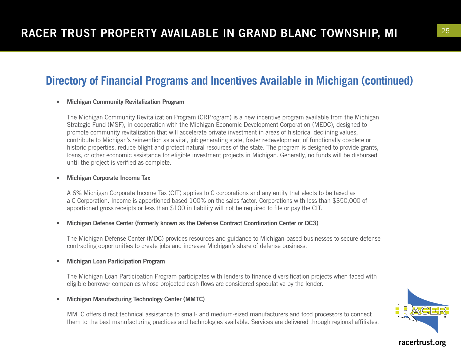#### • Michigan Community Revitalization Program

The Michigan Community Revitalization Program (CRProgram) is a new incentive program available from the Michigan Strategic Fund (MSF), in cooperation with the Michigan Economic Development Corporation (MEDC), designed to promote community revitalization that will accelerate private investment in areas of historical declining values, contribute to Michigan's reinvention as a vital, job generating state, foster redevelopment of functionally obsolete or historic properties, reduce blight and protect natural resources of the state. The program is designed to provide grants, loans, or other economic assistance for eligible investment projects in Michigan. Generally, no funds will be disbursed until the project is verified as complete.

#### • Michigan Corporate Income Tax

A 6% Michigan Corporate Income Tax (CIT) applies to C corporations and any entity that elects to be taxed as a C Corporation. Income is apportioned based 100% on the sales factor. Corporations with less than \$350,000 of apportioned gross receipts or less than \$100 in liability will not be required to file or pay the CIT.

#### • Michigan Defense Center (formerly known as the Defense Contract Coordination Center or DC3)

The Michigan Defense Center (MDC) provides resources and guidance to Michigan-based businesses to secure defense contracting opportunities to create jobs and increase Michigan's share of defense business.

#### • Michigan Loan Participation Program

The Michigan Loan Participation Program participates with lenders to finance diversification projects when faced with eligible borrower companies whose projected cash flows are considered speculative by the lender.

#### • Michigan Manufacturing Technology Center (MMTC)

MMTC offers direct technical assistance to small- and medium-sized manufacturers and food processors to connect them to the best manufacturing practices and technologies available. Services are delivered through regional affiliates.

![](_page_24_Picture_12.jpeg)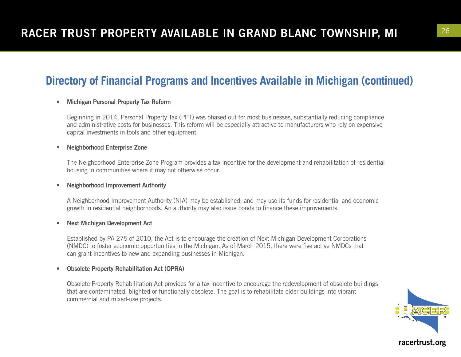### • Michigan Personal Property Tax Reform

Beginning in 2014, Personal Property Tax (PPT) was phased out for most businesses, substantially reducing compliance and administrative costs for businesses. This reform will be especially attractive to manufacturers who rely on expensive capital investments in tools and other equipment.

#### • Neighborhood Enterprise Zone

The Neighborhood Enterprise Zone Program provides a tax incentive for the development and rehabilitation of residential housing in communities where it may not otherwise occur.

#### • Neighborhood Improvement Authority

A Neighborhood Improvement Authority (NIA) may be established, and may use its funds for residential and economic growth in residential neighborhoods. An authority may also issue bonds to finance these improvements.

#### • Next Michigan Development Act

Established by PA 275 of 2010, the Act is to encourage the creation of Next Michigan Development Corporations (NMDC) to foster economic opportunities in the Michigan. As of March 2015, there were five active NMDCs that can grant incentives to new and expanding businesses in Michigan.

#### • Obsolete Property Rehabilitation Act (OPRA)

Obsolete Property Rehabilitation Act provides for a tax incentive to encourage the redevelopment of obsolete buildings that are contaminated, blighted or functionally obsolete. The goal is to rehabilitate older buildings into vibrant commercial and mixed-use projects.

![](_page_25_Picture_12.jpeg)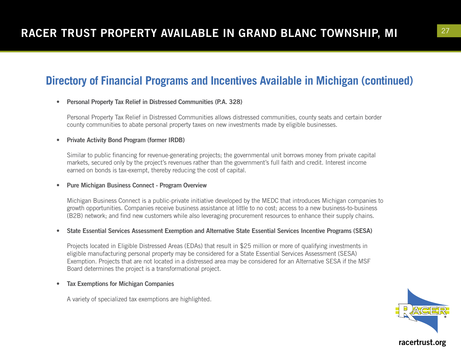### • Personal Property Tax Relief in Distressed Communities (P.A. 328)

Personal Property Tax Relief in Distressed Communities allows distressed communities, county seats and certain border county communities to abate personal property taxes on new investments made by eligible businesses.

#### • Private Activity Bond Program (former IRDB)

Similar to public financing for revenue-generating projects; the governmental unit borrows money from private capital markets, secured only by the project's revenues rather than the government's full faith and credit. Interest income earned on bonds is tax-exempt, thereby reducing the cost of capital.

#### • Pure Michigan Business Connect - Program Overview

Michigan Business Connect is a public-private initiative developed by the MEDC that introduces Michigan companies to growth opportunities. Companies receive business assistance at little to no cost; access to a new business-to-business (B2B) network; and find new customers while also leveraging procurement resources to enhance their supply chains.

#### • State Essential Services Assessment Exemption and Alternative State Essential Services Incentive Programs (SESA)

Projects located in Eligible Distressed Areas (EDAs) that result in \$25 million or more of qualifying investments in eligible manufacturing personal property may be considered for a State Essential Services Assessment (SESA) Exemption. Projects that are not located in a distressed area may be considered for an Alternative SESA if the MSF Board determines the project is a transformational project.

#### • Tax Exemptions for Michigan Companies

A variety of specialized tax exemptions are highlighted.

![](_page_26_Picture_12.jpeg)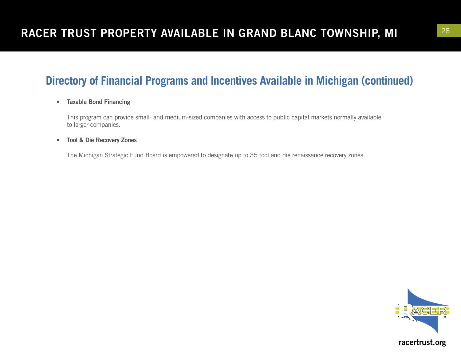### • Taxable Bond Financing

This program can provide small- and medium-sized companies with access to public capital markets normally available to larger companies.

### • Tool & Die Recovery Zones

The Michigan Strategic Fund Board is empowered to designate up to 35 tool and die renaissance recovery zones.

![](_page_27_Picture_6.jpeg)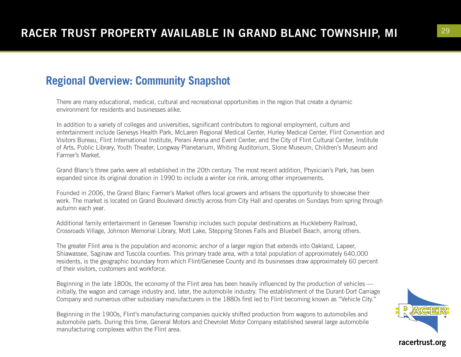## **Regional Overview: Community Snapshot**

There are many educational, medical, cultural and recreational opportunities in the region that create a dynamic environment for residents and businesses alike.

In addition to a variety of colleges and universities, significant contributors to regional employment, culture and entertainment include Genesys Health Park, McLaren Regional Medical Center, Hurley Medical Center, Flint Convention and Visitors Bureau, Flint International Institute, Perani Arena and Event Center, and the City of Flint Cultural Center, Institute of Arts, Public Library, Youth Theater, Longway Planetarium, Whiting Auditorium, Slone Museum, Children's Museum and Farmer's Market.

Grand Blanc's three parks were all established in the 20th century. The most recent addition, Physician's Park, has been expanded since its original donation in 1990 to include a winter ice rink, among other improvements.

Founded in 2006, the Grand Blanc Farmer's Market offers local growers and artisans the opportunity to showcase their work. The market is located on Grand Boulevard directly across from City Hall and operates on Sundays from spring through autumn each year.

Additional family entertainment in Genesee Township includes such popular destinations as Huckleberry Railroad, Crossroads Village, Johnson Memorial Library, Mott Lake, Stepping Stones Falls and Bluebell Beach, among others.

The greater Flint area is the population and economic anchor of a larger region that extends into Oakland, Lapeer, Shiawassee, Saginaw and Tuscola counties. This primary trade area, with a total population of approximately 640,000 residents, is the geographic boundary from which Flint/Genesee County and its businesses draw approximately 60 percent of their visitors, customers and workforce.

Beginning in the late 1800s, the economy of the Flint area has been heavily influenced by the production of vehicles initially, the wagon and carriage industry and, later, the automobile industry. The establishment of the Durant-Dort Carriage Company and numerous other subsidiary manufacturers in the 1880s first led to Flint becoming known as "Vehicle City."

Beginning in the 1900s, Flint's manufacturing companies quickly shifted production from wagons to automobiles and automobile parts. During this time, General Motors and Chevrolet Motor Company established several large automobile manufacturing complexes within the Flint area.

![](_page_28_Picture_10.jpeg)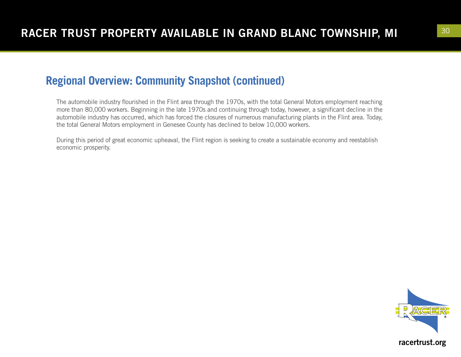### **Regional Overview: Community Snapshot (continued)**

The automobile industry flourished in the Flint area through the 1970s, with the total General Motors employment reaching more than 80,000 workers. Beginning in the late 1970s and continuing through today, however, a significant decline in the automobile industry has occurred, which has forced the closures of numerous manufacturing plants in the Flint area. Today, the total General Motors employment in Genesee County has declined to below 10,000 workers.

During this period of great economic upheaval, the Flint region is seeking to create a sustainable economy and reestablish economic prosperity.

![](_page_29_Picture_4.jpeg)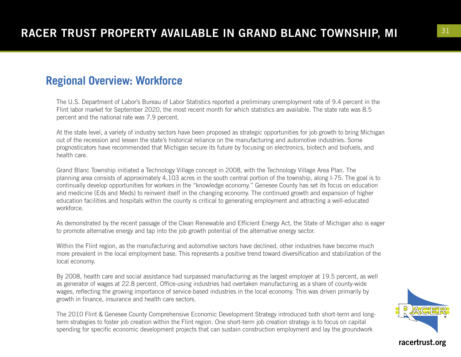### **Regional Overview: Workforce**

The U.S. Department of Labor's Bureau of Labor Statistics reported a preliminary unemployment rate of 9.4 percent in the Flint labor market for September 2020, the most recent month for which statistics are available. The state rate was 8.5 percent and the national rate was 7.9 percent.

At the state level, a variety of industry sectors have been proposed as strategic opportunities for job growth to bring Michigan out of the recession and lessen the state's historical reliance on the manufacturing and automotive industries. Some prognosticators have recommended that Michigan secure its future by focusing on electronics, biotech and biofuels, and health care.

Grand Blanc Township initiated a Technology Village concept in 2008, with the Technology Village Area Plan. The planning area consists of approximately 4,103 acres in the south central portion of the township, along I-75. The goal is to continually develop opportunities for workers in the "knowledge economy." Genesee County has set its focus on education and medicine (Eds and Meds) to reinvent itself in the changing economy. The continued growth and expansion of higher education facilities and hospitals within the county is critical to generating employment and attracting a well-educated workforce.

As demonstrated by the recent passage of the Clean Renewable and Efficient Energy Act, the State of Michigan also is eager to promote alternative energy and tap into the job growth potential of the alternative energy sector.

Within the Flint region, as the manufacturing and automotive sectors have declined, other industries have become much more prevalent in the local employment base. This represents a positive trend toward diversification and stabilization of the local economy.

By 2008, health care and social assistance had surpassed manufacturing as the largest employer at 19.5 percent, as well as generator of wages at 22.8 percent. Office-using industries had overtaken manufacturing as a share of county-wide wages, reflecting the growing importance of service-based industries in the local economy. This was driven primarily by growth in finance, insurance and health care sectors.

The 2010 Flint & Genesee County Comprehensive Economic Development Strategy introduced both short-term and longterm strategies to foster job creation within the Flint region. One short-term job creation strategy is to focus on capital spending for specific economic development projects that can sustain construction employment and lay the groundwork

![](_page_30_Picture_9.jpeg)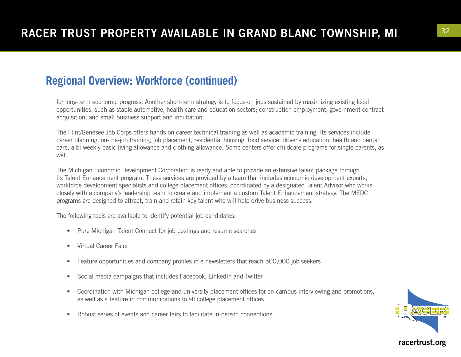## **Regional Overview: Workforce (continued)**

for long-term economic progress. Another short-term strategy is to focus on jobs sustained by maximizing existing local opportunities, such as stable automotive, health care and education sectors; construction employment; government contract acquisition; and small business support and incubation.

The Flint/Genesee Job Corps offers hands-on career technical training as well as academic training. Its services include career planning, on-the-job training, job placement, residential housing, food service, driver's education, health and dental care, a bi-weekly basic living allowance and clothing allowance. Some centers offer childcare programs for single parents, as well.

The Michigan Economic Development Corporation is ready and able to provide an extensive talent package through its Talent Enhancement program. These services are provided by a team that includes economic development experts, workforce development specialists and college placement offices, coordinated by a designated Talent Advisor who works closely with a company's leadership team to create and implement a custom Talent Enhancement strategy. The MEDC programs are designed to attract, train and retain key talent who will help drive business success.

The following tools are available to identify potential job candidates:

- Pure Michigan Talent Connect for job postings and resume searches
- Virtual Career Fairs
- Feature opportunities and company profiles in e-newsletters that reach 500,000 job seekers
- Social media campaigns that includes Facebook, LinkedIn and Twitter
- Coordination with Michigan college and university placement offices for on-campus interviewing and promotions, as well as a feature in communications to all college placement offices
- Robust series of events and career fairs to facilitate in-person connections

![](_page_31_Picture_12.jpeg)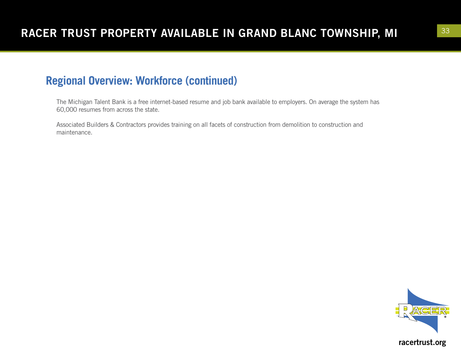### **Regional Overview: Workforce (continued)**

The Michigan Talent Bank is a free internet-based resume and job bank available to employers. On average the system has 60,000 resumes from across the state.

Associated Builders & Contractors provides training on all facets of construction from demolition to construction and maintenance.

![](_page_32_Picture_4.jpeg)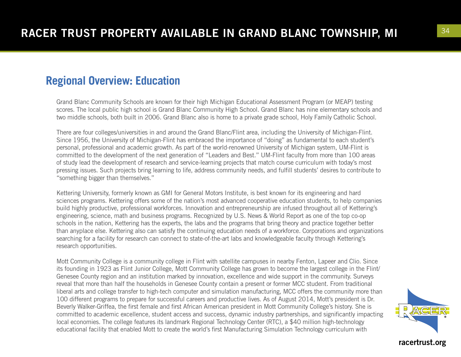### **Regional Overview: Education**

Grand Blanc Community Schools are known for their high Michigan Educational Assessment Program (or MEAP) testing scores. The local public high school is Grand Blanc Community High School. Grand Blanc has nine elementary schools and two middle schools, both built in 2006. Grand Blanc also is home to a private grade school, Holy Family Catholic School.

There are four colleges/universities in and around the Grand Blanc/Flint area, including the University of Michigan-Flint. Since 1956, the University of Michigan-Flint has embraced the importance of "doing" as fundamental to each student's personal, professional and academic growth. As part of the world-renowned University of Michigan system, UM-Flint is committed to the development of the next generation of "Leaders and Best." UM-Flint faculty from more than 100 areas of study lead the development of research and service-learning projects that match course curriculum with today's most pressing issues. Such projects bring learning to life, address community needs, and fulfill students' desires to contribute to "something bigger than themselves."

Kettering University, formerly known as GMI for General Motors Institute, is best known for its engineering and hard sciences programs. Kettering offers some of the nation's most advanced cooperative education students, to help companies build highly productive, professional workforces. Innovation and entrepreneurship are infused throughout all of Kettering's engineering, science, math and business programs. Recognized by U.S. News & World Report as one of the top co-op schools in the nation, Kettering has the experts, the labs and the programs that bring theory and practice together better than anyplace else. Kettering also can satisfy the continuing education needs of a workforce. Corporations and organizations searching for a facility for research can connect to state-of-the-art labs and knowledgeable faculty through Kettering's research opportunities.

Mott Community College is a community college in Flint with satellite campuses in nearby Fenton, Lapeer and Clio. Since its founding in 1923 as Flint Junior College, Mott Community College has grown to become the largest college in the Flint/ Genesee County region and an institution marked by innovation, excellence and wide support in the community. Surveys reveal that more than half the households in Genesee County contain a present or former MCC student. From traditional liberal arts and college transfer to high-tech computer and simulation manufacturing, MCC offers the community more than 100 different programs to prepare for successful careers and productive lives. As of August 2014, Mott's president is Dr. Beverly Walker-Griffea, the first female and first African American president in Mott Community College's history. She is committed to academic excellence, student access and success, dynamic industry partnerships, and significantly impacting local economies. The college features its landmark Regional Technology Center (RTC), a \$40 million high-technology educational facility that enabled Mott to create the world's first Manufacturing Simulation Technology curriculum with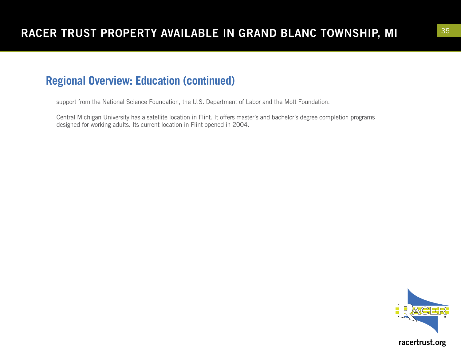## **Regional Overview: Education (continued)**

support from the National Science Foundation, the U.S. Department of Labor and the Mott Foundation.

Central Michigan University has a satellite location in Flint. It offers master's and bachelor's degree completion programs designed for working adults. Its current location in Flint opened in 2004.

![](_page_34_Picture_4.jpeg)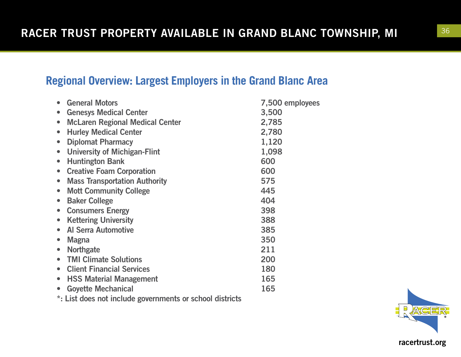## **Regional Overview: Largest Employers in the Grand Blanc Area**

| <b>General Motors</b>                                    | 7,500 employees |
|----------------------------------------------------------|-----------------|
| <b>Genesys Medical Center</b>                            | 3,500           |
| <b>McLaren Regional Medical Center</b>                   | 2,785           |
| <b>Hurley Medical Center</b><br>$\bullet$                | 2,780           |
| <b>Diplomat Pharmacy</b>                                 | 1,120           |
| <b>University of Michigan-Flint</b><br>$\bullet$         | 1,098           |
| <b>Huntington Bank</b><br>$\bullet$                      | 600             |
| <b>Creative Foam Corporation</b><br>$\bullet$            | 600             |
| <b>Mass Transportation Authority</b><br>$\bullet$        | 575             |
| <b>Mott Community College</b><br>$\bullet$               | 445             |
| <b>Baker College</b><br>$\bullet$                        | 404             |
| <b>Consumers Energy</b><br>$\bullet$                     | 398             |
| <b>Kettering University</b><br>$\bullet$                 | 388             |
| <b>Al Serra Automotive</b>                               | 385             |
| <b>Magna</b><br>$\bullet$                                | 350             |
| <b>Northgate</b><br>$\bullet$                            | 211             |
| <b>TMI Climate Solutions</b>                             | 200             |
| <b>Client Financial Services</b>                         | 180             |
| <b>HSS Material Management</b><br>$\bullet$              | 165             |
| <b>Goyette Mechanical</b><br>$\bullet$                   | 165             |
| *: List does not include governments or school districts |                 |

![](_page_35_Picture_3.jpeg)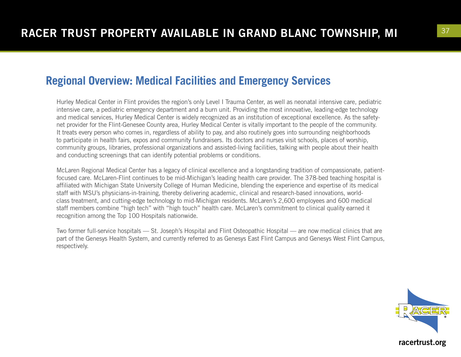### **Regional Overview: Medical Facilities and Emergency Services**

Hurley Medical Center in Flint provides the region's only Level I Trauma Center, as well as neonatal intensive care, pediatric intensive care, a pediatric emergency department and a burn unit. Providing the most innovative, leading-edge technology and medical services, Hurley Medical Center is widely recognized as an institution of exceptional excellence. As the safetynet provider for the Flint-Genesee County area, Hurley Medical Center is vitally important to the people of the community. It treats every person who comes in, regardless of ability to pay, and also routinely goes into surrounding neighborhoods to participate in health fairs, expos and community fundraisers. Its doctors and nurses visit schools, places of worship, community groups, libraries, professional organizations and assisted-living facilities, talking with people about their health and conducting screenings that can identify potential problems or conditions.

McLaren Regional Medical Center has a legacy of clinical excellence and a longstanding tradition of compassionate, patientfocused care. McLaren-Flint continues to be mid-Michigan's leading health care provider. The 378-bed teaching hospital is affiliated with Michigan State University College of Human Medicine, blending the experience and expertise of its medical staff with MSU's physicians-in-training, thereby delivering academic, clinical and research-based innovations, worldclass treatment, and cutting-edge technology to mid-Michigan residents. McLaren's 2,600 employees and 600 medical staff members combine "high tech" with "high touch" health care. McLaren's commitment to clinical quality earned it recognition among the Top 100 Hospitals nationwide.

Two former full-service hospitals — St. Joseph's Hospital and Flint Osteopathic Hospital — are now medical clinics that are part of the Genesys Health System, and currently referred to as Genesys East Flint Campus and Genesys West Flint Campus, respectively.

![](_page_36_Picture_5.jpeg)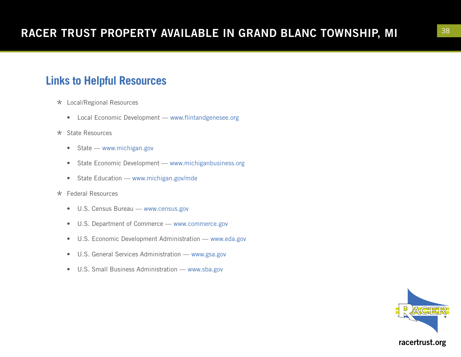## **Links to Helpful Resources**

- \* Local/Regional Resources
	- Local Economic Development www.flintandgenesee.org
- \* State Resources
	- State www.michigan.gov
	- State Economic Development www.michiganbusiness.org
	- State Education www.michigan.gov/mde
- \* Federal Resources
	- U.S. Census Bureau www.census.gov
	- U.S. Department of Commerce www.commerce.gov
	- U.S. Economic Development Administration www.eda.gov
	- U.S. General Services Administration www.gsa.gov
	- U.S. Small Business Administration www.sba.gov

![](_page_37_Picture_14.jpeg)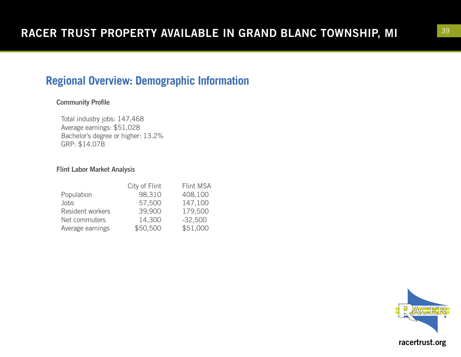## **Regional Overview: Demographic Information**

### Community Profile

Total industry jobs: 147,468 Average earnings: \$51,028 Bachelor's degree or higher: 13.2% GRP: \$14.07B

### Flint Labor Market Analysis

| City of Flint | Flint MSA |
|---------------|-----------|
| 98,310        | 408,100   |
| 57,500        | 147,100   |
| 39,900        | 179,500   |
| 14,300        | $-32,500$ |
| \$50,500      | \$51,000  |
|               |           |

![](_page_38_Picture_6.jpeg)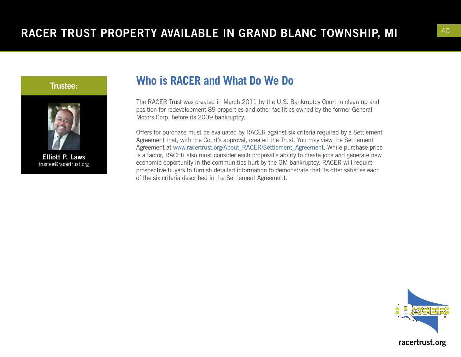![](_page_39_Picture_1.jpeg)

![](_page_39_Picture_2.jpeg)

Elliott P. Laws trustee@racertrust.org

### **Who is RACER and What Do We Do**

The RACER Trust was created in March 2011 by the U.S. Bankruptcy Court to clean up and position for redevelopment 89 properties and other facilities owned by the former General Motors Corp. before its 2009 bankruptcy.

Offers for purchase must be evaluated by RACER against six criteria required by a Settlement Agreement that, with the Court's approval, created the Trust. You may view the Settlement Agreement at www.racertrust.org/About\_RACER/Settlement\_Agreement. While purchase price is a factor, RACER also must consider each proposal's ability to create jobs and generate new economic opportunity in the communities hurt by the GM bankruptcy. RACER will require prospective buyers to furnish detailed information to demonstrate that its offer satisfies each of the six criteria described in the Settlement Agreement.

![](_page_39_Picture_7.jpeg)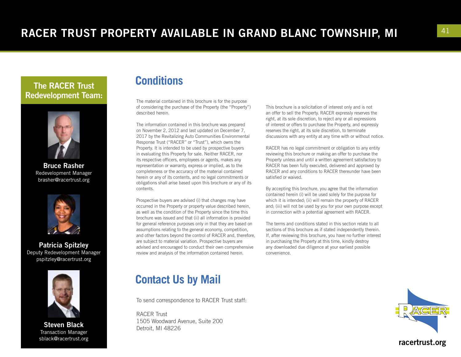### The RACER Trust Redevelopment Team:

![](_page_40_Picture_2.jpeg)

Bruce Rasher Redevelopment Manager brasher@racertrust.org

![](_page_40_Picture_4.jpeg)

Patricia Spitzley Deputy Redevelopment Manager pspitzley@racertrust.org

![](_page_40_Picture_6.jpeg)

Steven Black Transaction Manager sblack@racertrust.org

### **Conditions**

The material contained in this brochure is for the purpose of considering the purchase of the Property (the "Property") described herein.

The information contained in this brochure was prepared on November 2, 2012 and last updated on December 7, 2017 by the Revitalizing Auto Communities Environmental Response Trust ("RACER" or "Trust"), which owns the Property. It is intended to be used by prospective buyers in evaluating this Property for sale. Neither RACER, nor its respective officers, employees or agents, makes any representation or warranty, express or implied, as to the completeness or the accuracy of the material contained herein or any of its contents, and no legal commitments or obligations shall arise based upon this brochure or any of its contents.

Prospective buyers are advised (i) that changes may have occurred in the Property or property value described herein, as well as the condition of the Property since the time this brochure was issued and that (ii) all information is provided for general reference purposes only in that they are based on assumptions relating to the general economy, competition, and other factors beyond the control of RACER and, therefore, are subject to material variation. Prospective buyers are advised and encouraged to conduct their own comprehensive review and analysis of the information contained herein.

### **Contact Us by Mail**

To send correspondence to RACER Trust staff:

RACER Trust 1505 Woodward Avenue, Suite 200 Detroit, MI 48226

This brochure is a solicitation of interest only and is not an offer to sell the Property. RACER expressly reserves the right, at its sole discretion, to reject any or all expressions of interest or offers to purchase the Property, and expressly reserves the right, at its sole discretion, to terminate discussions with any entity at any time with or without notice.

RACER has no legal commitment or obligation to any entity reviewing this brochure or making an offer to purchase the Property unless and until a written agreement satisfactory to RACER has been fully executed, delivered and approved by RACER and any conditions to RACER thereunder have been satisfied or waived.

By accepting this brochure, you agree that the information contained herein (i) will be used solely for the purpose for which it is intended; (ii) will remain the property of RACER and; (iii) will not be used by you for your own purpose except in connection with a potential agreement with RACER.

The terms and conditions stated in this section relate to all sections of this brochure as if stated independently therein. If, after reviewing this brochure, you have no further interest in purchasing the Property at this time, kindly destroy any downloaded due diligence at your earliest possible convenience.

![](_page_40_Picture_19.jpeg)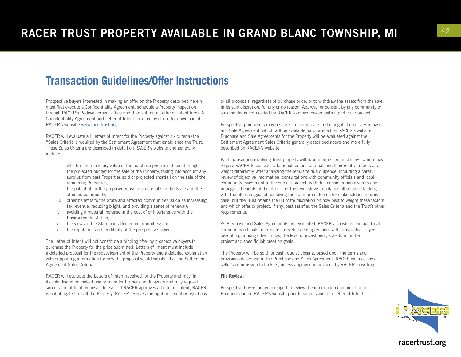### **Transaction Guidelines/Offer Instructions**

Prospective buyers interested in making an offer on the Property described herein must first execute a Confidentiality Agreement, schedule a Property inspection through RACER's Redevelopment office and then submit a Letter of Intent form. A Confidentiality Agreement and Letter of Intent form are available for download at RACER's website: www.racertrust.org.

RACER will evaluate all Letters of Intent for the Property against six criteria (the "Sales Criteria") required by the Settlement Agreement that established the Trust. These Sales Criteria are described in detail on RACER's website and generally include:

- i. whether the monetary value of the purchase price is sufficient in light of the projected budget for the sale of the Property, taking into account any surplus from past Properties sold or projected shortfall on the sale of the remaining Properties;
- ii. the potential for the proposed reuse to create jobs in the State and the affected community;
- iii. other benefits to the State and affected communities (such as increasing tax revenue, reducing blight, and providing a sense of renewal);
- iv. avoiding a material increase in the cost of or interference with the Environmental Action;
- v. the views of the State and affected communities; and
- vi. the reputation and credibility of the prospective buyer.

The Letter of Intent will not constitute a binding offer by prospective buyers to purchase the Property for the price submitted. Letters of Intent must include a detailed proposal for the redevelopment of the Property and a detailed explanation with supporting information for how the proposal would satisfy all of the Settlement Agreement Sales Criteria.

RACER will evaluate the Letters of Intent received for the Property and may, in its sole discretion, select one or more for further due diligence and may request submission of final proposals for sale. If RACER approves a Letter of Intent, RACER is not obligated to sell the Property. RACER reserves the right to accept or reject any or all proposals, regardless of purchase price, or to withdraw the assets from the sale, in its sole discretion, for any or no reason. Approval or consent by any community or stakeholder is not needed for RACER to move forward with a particular project.

Prospective purchasers may be asked to participate in the negotiation of a Purchase and Sale Agreement, which will be available for download on RACER's website. Purchase and Sale Agreements for the Property will be evaluated against the Settlement Agreement Sales Criteria generally described above and more fully described on RACER's website.

Each transaction involving Trust property will have unique circumstances, which may require RACER to consider additional factors, and balance their relative merits and weight differently, after analyzing the requisite due diligence, including a careful review of objective information, consultations with community officials and local community investment in the subject project, with due consideration given to any intangible benefits of the offer. The Trust will strive to balance all of these factors, with the ultimate goal of achieving the optimum outcome for stakeholders in every case, but the Trust retains the ultimate discretion on how best to weight these factors and which offer or project, if any, best satisfies the Sales Criteria and the Trust's other requirements.

As Purchase and Sales Agreements are evaluated, RACER also will encourage local community officials to execute a development agreement with prospective buyers describing, among other things, the level of investment, schedule for the project and specific job creation goals.

The Property will be sold for cash, due at closing, based upon the terms and provisions described in the Purchase and Sales Agreement. RACER will not pay a seller's commission to brokers, unless approved in advance by RACER in writing.

#### File Review:

Prospective buyers are encouraged to review the information contained in this Brochure and on RACER's website prior to submission of a Letter of Intent.

![](_page_41_Picture_19.jpeg)